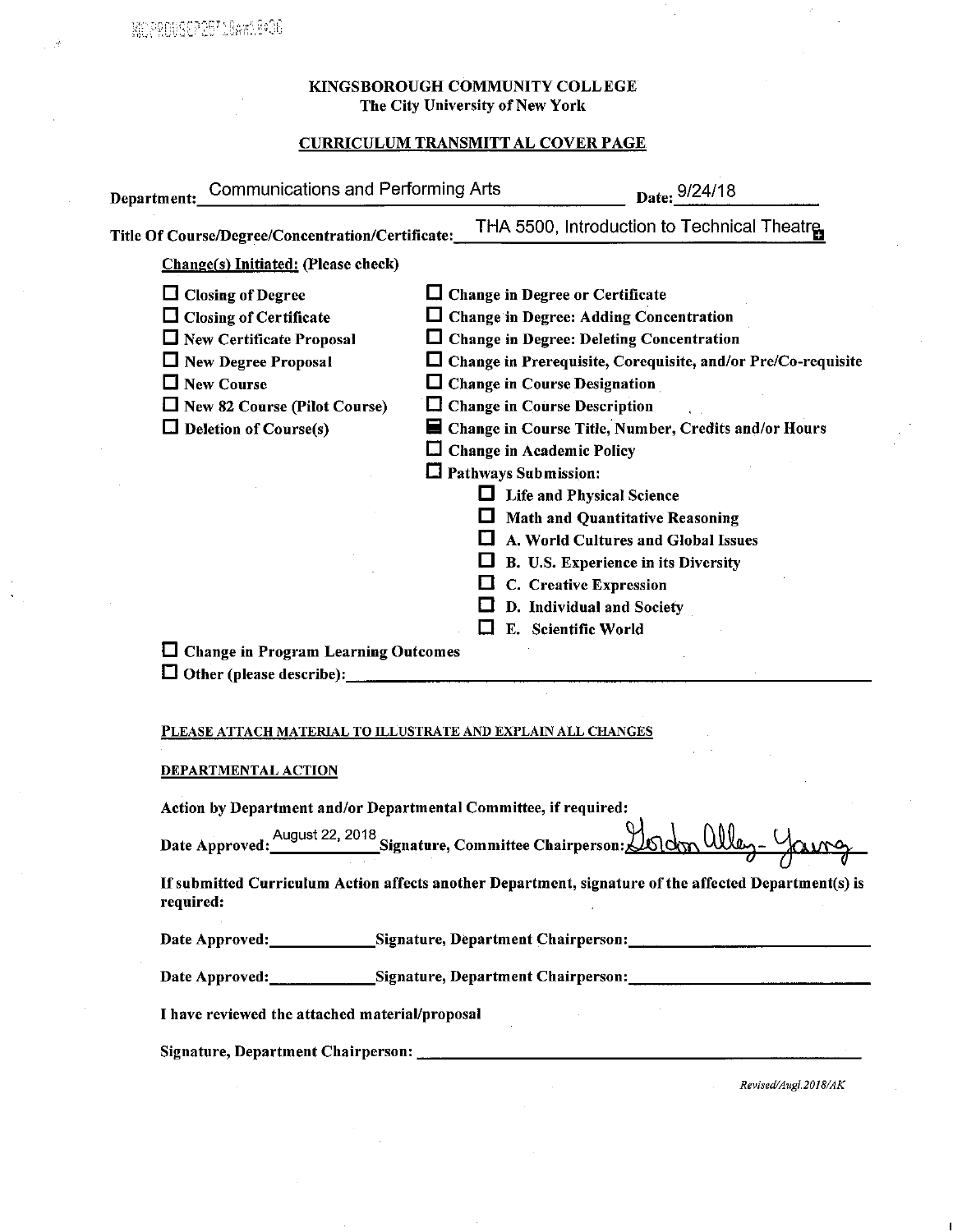#### KINGSBOROUGH COMMUNITY COLLEGE The City University of New York

# **CURRICULUM TRANSMITT AL COVER PAGE**

| Department:_Communications and Performing Arts                                                                                                                                                                                                                                                       |                                                                  | Date: 9/24/18                                                                                                                                                                                                                                                                                                                                                                                                                                                                                                                                                                                                                                                   |  |
|------------------------------------------------------------------------------------------------------------------------------------------------------------------------------------------------------------------------------------------------------------------------------------------------------|------------------------------------------------------------------|-----------------------------------------------------------------------------------------------------------------------------------------------------------------------------------------------------------------------------------------------------------------------------------------------------------------------------------------------------------------------------------------------------------------------------------------------------------------------------------------------------------------------------------------------------------------------------------------------------------------------------------------------------------------|--|
| Title Of Course/Degree/Concentration/Certificate:                                                                                                                                                                                                                                                    |                                                                  | THA 5500, Introduction to Technical Theatre                                                                                                                                                                                                                                                                                                                                                                                                                                                                                                                                                                                                                     |  |
| Change(s) Initiated: (Please check)                                                                                                                                                                                                                                                                  |                                                                  |                                                                                                                                                                                                                                                                                                                                                                                                                                                                                                                                                                                                                                                                 |  |
| $\Box$ Closing of Degree<br>$\Box$ Closing of Certificate<br>$\Box$ New Certificate Proposal<br>$\Box$ New Degree Proposal<br>□ New Course<br>$\Box$ New 82 Course (Pilot Course)<br>$\Box$ Deletion of Course(s)<br><b>T</b> Change in Program Learning Outcomes<br><b>Other (please describe):</b> | ப                                                                | $\Box$ Change in Degree or Certificate<br>$\Box$ Change in Degree: Adding Concentration<br>$\Box$ Change in Degree: Deleting Concentration<br>□ Change in Prerequisite, Corequisite, and/or Pre/Co-requisite<br>$\Box$ Change in Course Designation<br>$\Box$ Change in Course Description<br>Change in Course Title, Number, Credits and/or Hours<br><b>Change in Academic Policy</b><br>$\Box$ Pathways Submission:<br>$\Box$ Life and Physical Science<br>$\Box$ Math and Quantitative Reasoning<br>A. World Cultures and Global Issues<br>B. U.S. Experience in its Diversity<br>C. Creative Expression<br>D. Individual and Society<br>E. Scientific World |  |
| PLEASE ATTACH MATERIAL TO ILLUSTRATE AND EXPLAIN ALL CHANGES                                                                                                                                                                                                                                         |                                                                  |                                                                                                                                                                                                                                                                                                                                                                                                                                                                                                                                                                                                                                                                 |  |
| <b>DEPARTMENTAL ACTION</b>                                                                                                                                                                                                                                                                           |                                                                  |                                                                                                                                                                                                                                                                                                                                                                                                                                                                                                                                                                                                                                                                 |  |
|                                                                                                                                                                                                                                                                                                      | Action by Department and/or Departmental Committee, if required: |                                                                                                                                                                                                                                                                                                                                                                                                                                                                                                                                                                                                                                                                 |  |
| Date Approved:                                                                                                                                                                                                                                                                                       | August 22, 2018<br>Signature, Committee Chairperson:             |                                                                                                                                                                                                                                                                                                                                                                                                                                                                                                                                                                                                                                                                 |  |
| If submitted Curriculum Action affects another Department, signature of the affected Department(s) is<br>required:                                                                                                                                                                                   |                                                                  |                                                                                                                                                                                                                                                                                                                                                                                                                                                                                                                                                                                                                                                                 |  |
|                                                                                                                                                                                                                                                                                                      |                                                                  | Date Approved: Signature, Department Chairperson: Network Chairperson.                                                                                                                                                                                                                                                                                                                                                                                                                                                                                                                                                                                          |  |
|                                                                                                                                                                                                                                                                                                      |                                                                  | Date Approved: _______________Signature, Department Chairperson: ___________________________________                                                                                                                                                                                                                                                                                                                                                                                                                                                                                                                                                            |  |
| I have reviewed the attached material/proposal                                                                                                                                                                                                                                                       |                                                                  |                                                                                                                                                                                                                                                                                                                                                                                                                                                                                                                                                                                                                                                                 |  |
|                                                                                                                                                                                                                                                                                                      |                                                                  |                                                                                                                                                                                                                                                                                                                                                                                                                                                                                                                                                                                                                                                                 |  |
|                                                                                                                                                                                                                                                                                                      |                                                                  | Revised/Augl.2018/AK                                                                                                                                                                                                                                                                                                                                                                                                                                                                                                                                                                                                                                            |  |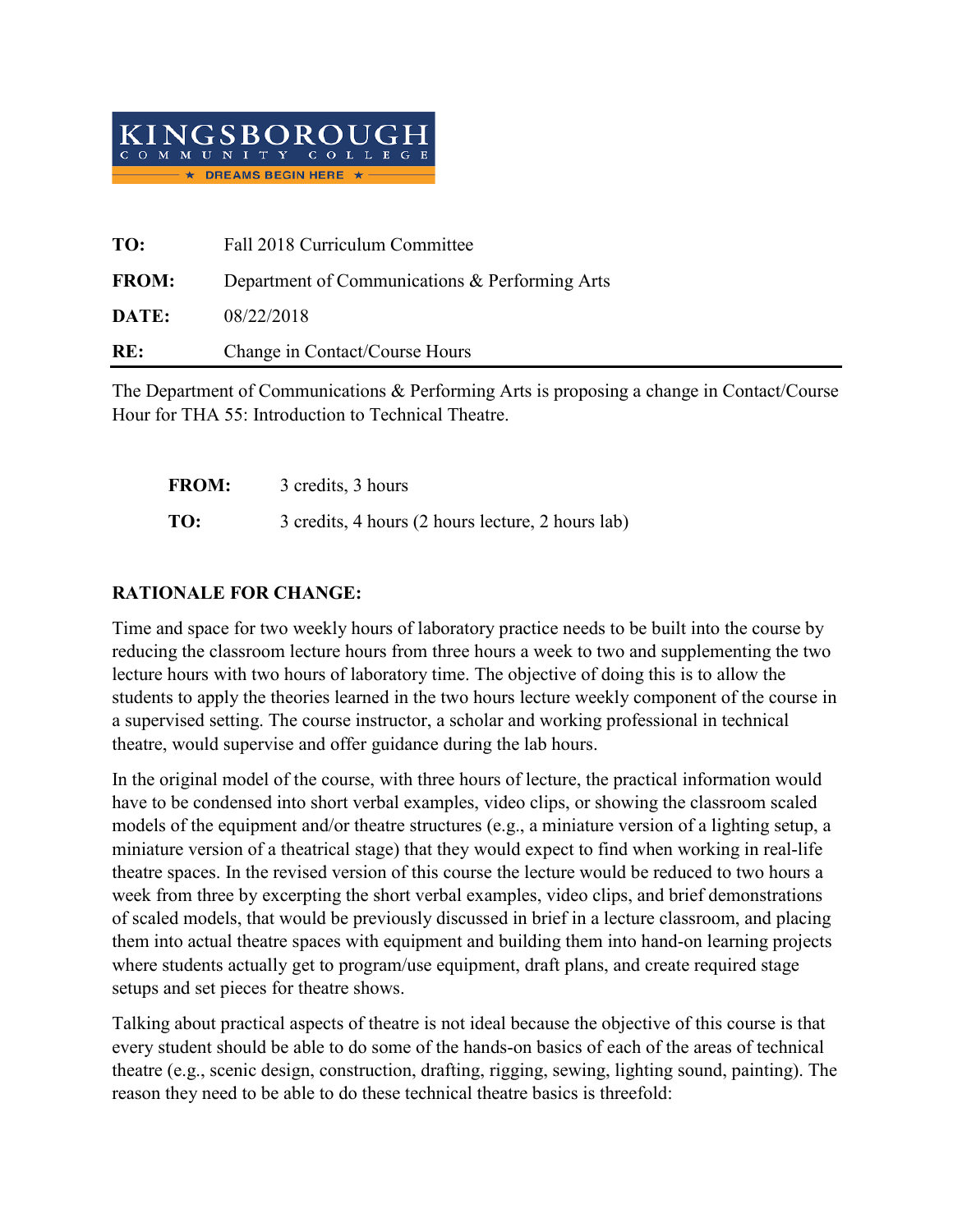

| TO:          | Fall 2018 Curriculum Committee                 |
|--------------|------------------------------------------------|
| <b>FROM:</b> | Department of Communications & Performing Arts |
| DATE:        | 08/22/2018                                     |
| RE:          | Change in Contact/Course Hours                 |

The Department of Communications & Performing Arts is proposing a change in Contact/Course Hour for THA 55: Introduction to Technical Theatre.

| <b>FROM:</b> | 3 credits, 3 hours                                |
|--------------|---------------------------------------------------|
| TO:          | 3 credits, 4 hours (2 hours lecture, 2 hours lab) |

# **RATIONALE FOR CHANGE:**

Time and space for two weekly hours of laboratory practice needs to be built into the course by reducing the classroom lecture hours from three hours a week to two and supplementing the two lecture hours with two hours of laboratory time. The objective of doing this is to allow the students to apply the theories learned in the two hours lecture weekly component of the course in a supervised setting. The course instructor, a scholar and working professional in technical theatre, would supervise and offer guidance during the lab hours.

In the original model of the course, with three hours of lecture, the practical information would have to be condensed into short verbal examples, video clips, or showing the classroom scaled models of the equipment and/or theatre structures (e.g., a miniature version of a lighting setup, a miniature version of a theatrical stage) that they would expect to find when working in real-life theatre spaces. In the revised version of this course the lecture would be reduced to two hours a week from three by excerpting the short verbal examples, video clips, and brief demonstrations of scaled models, that would be previously discussed in brief in a lecture classroom, and placing them into actual theatre spaces with equipment and building them into hand-on learning projects where students actually get to program/use equipment, draft plans, and create required stage setups and set pieces for theatre shows.

Talking about practical aspects of theatre is not ideal because the objective of this course is that every student should be able to do some of the hands-on basics of each of the areas of technical theatre (e.g., scenic design, construction, drafting, rigging, sewing, lighting sound, painting). The reason they need to be able to do these technical theatre basics is threefold: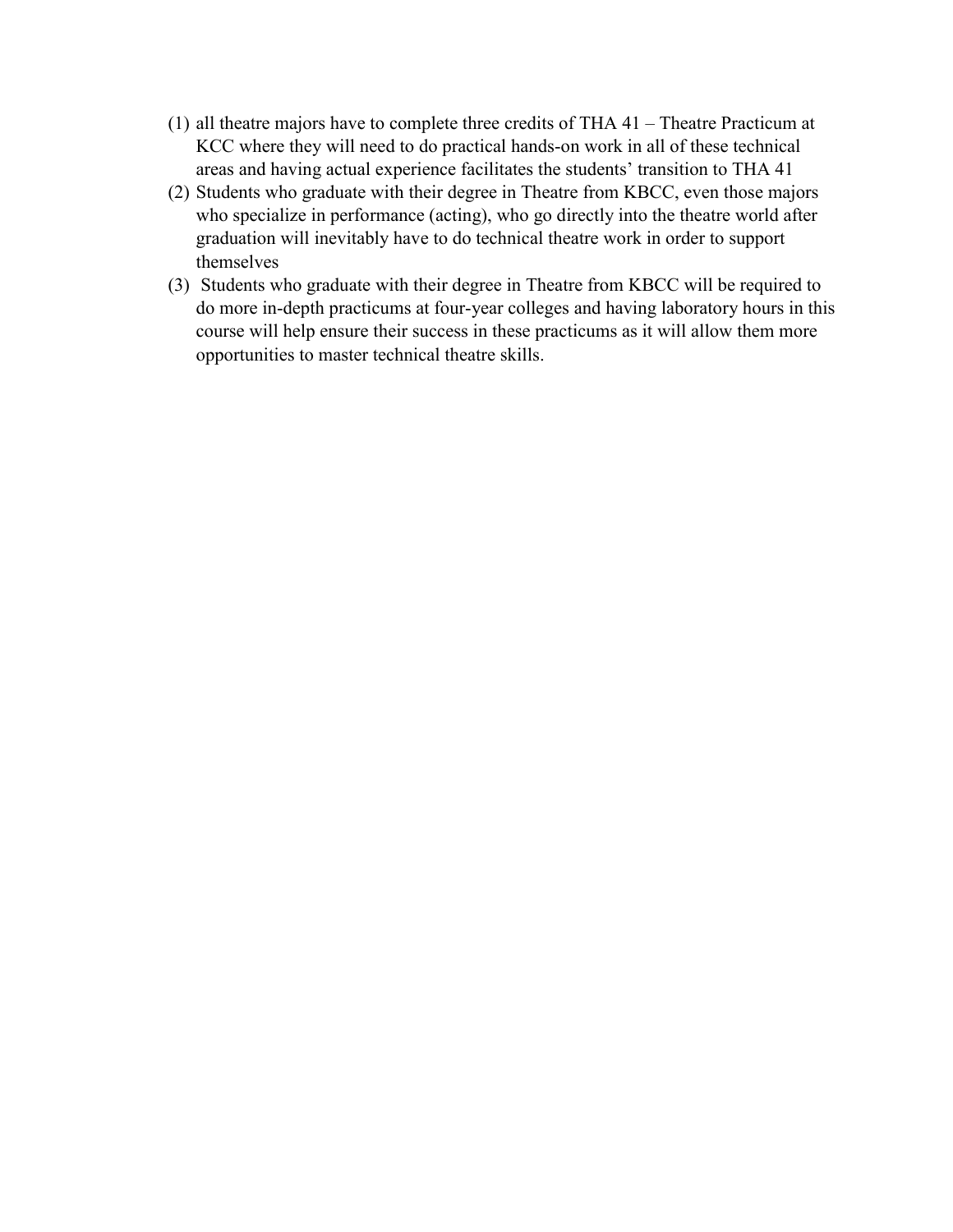- (1) all theatre majors have to complete three credits of THA 41 Theatre Practicum at KCC where they will need to do practical hands-on work in all of these technical areas and having actual experience facilitates the students' transition to THA 41
- (2) Students who graduate with their degree in Theatre from KBCC, even those majors who specialize in performance (acting), who go directly into the theatre world after graduation will inevitably have to do technical theatre work in order to support themselves
- (3) Students who graduate with their degree in Theatre from KBCC will be required to do more in-depth practicums at four-year colleges and having laboratory hours in this course will help ensure their success in these practicums as it will allow them more opportunities to master technical theatre skills.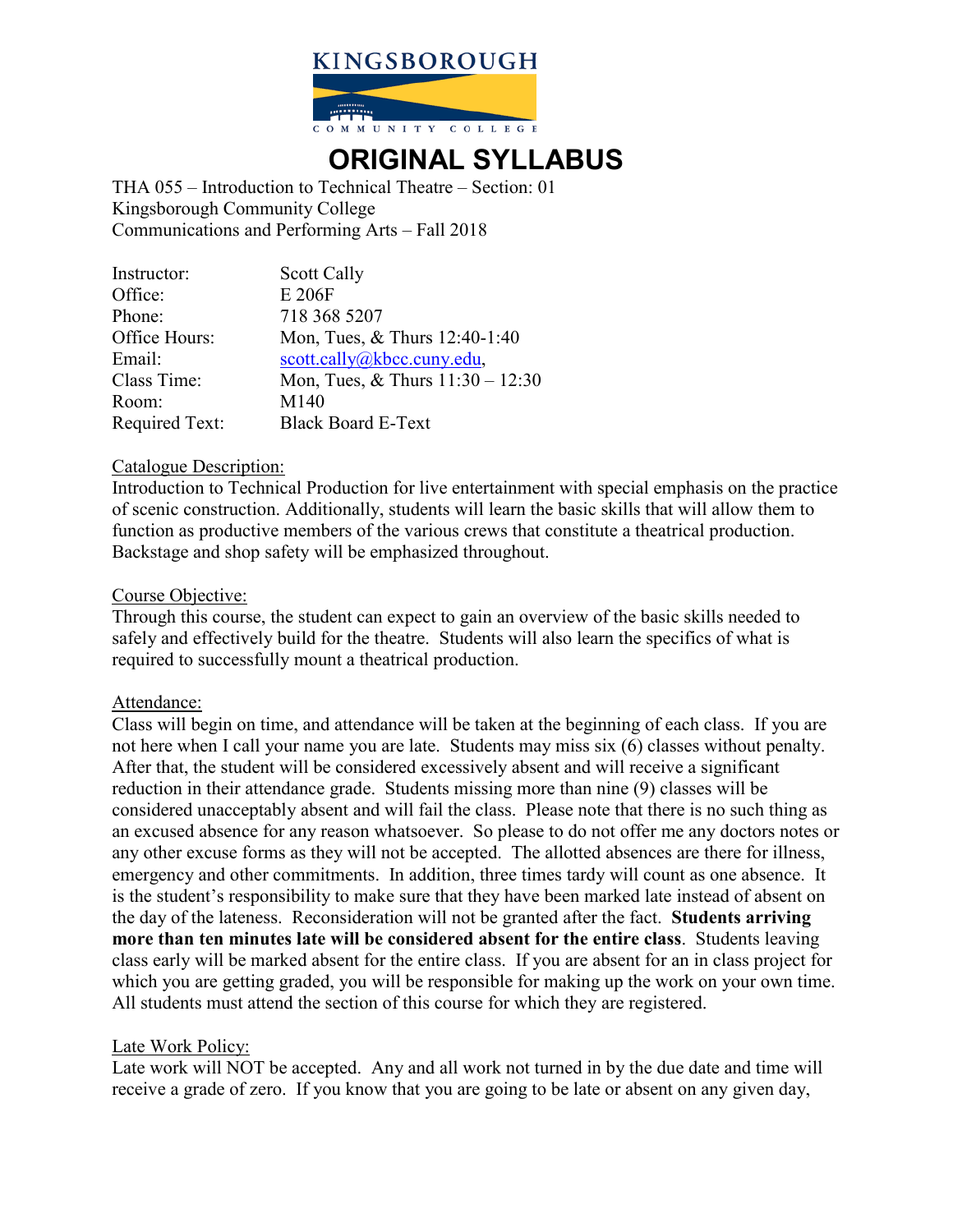

# **ORIGINAL SYLLABUS**

THA 055 – Introduction to Technical Theatre – Section: 01 Kingsborough Community College Communications and Performing Arts – Fall 2018

| Instructor:           | <b>Scott Cally</b>                 |
|-----------------------|------------------------------------|
| Office:               | E 206F                             |
| Phone:                | 718 368 5207                       |
| Office Hours:         | Mon, Tues, & Thurs 12:40-1:40      |
| Email:                | scott.cally@kbcc.cuny.edu,         |
| Class Time:           | Mon, Tues, & Thurs $11:30 - 12:30$ |
| Room:                 | M140                               |
| <b>Required Text:</b> | <b>Black Board E-Text</b>          |

#### Catalogue Description:

Introduction to Technical Production for live entertainment with special emphasis on the practice of scenic construction. Additionally, students will learn the basic skills that will allow them to function as productive members of the various crews that constitute a theatrical production. Backstage and shop safety will be emphasized throughout.

#### Course Objective:

Through this course, the student can expect to gain an overview of the basic skills needed to safely and effectively build for the theatre. Students will also learn the specifics of what is required to successfully mount a theatrical production.

#### Attendance:

Class will begin on time, and attendance will be taken at the beginning of each class. If you are not here when I call your name you are late. Students may miss six (6) classes without penalty. After that, the student will be considered excessively absent and will receive a significant reduction in their attendance grade. Students missing more than nine (9) classes will be considered unacceptably absent and will fail the class. Please note that there is no such thing as an excused absence for any reason whatsoever. So please to do not offer me any doctors notes or any other excuse forms as they will not be accepted. The allotted absences are there for illness, emergency and other commitments. In addition, three times tardy will count as one absence. It is the student's responsibility to make sure that they have been marked late instead of absent on the day of the lateness. Reconsideration will not be granted after the fact. **Students arriving more than ten minutes late will be considered absent for the entire class**. Students leaving class early will be marked absent for the entire class. If you are absent for an in class project for which you are getting graded, you will be responsible for making up the work on your own time. All students must attend the section of this course for which they are registered.

#### Late Work Policy:

Late work will NOT be accepted. Any and all work not turned in by the due date and time will receive a grade of zero. If you know that you are going to be late or absent on any given day,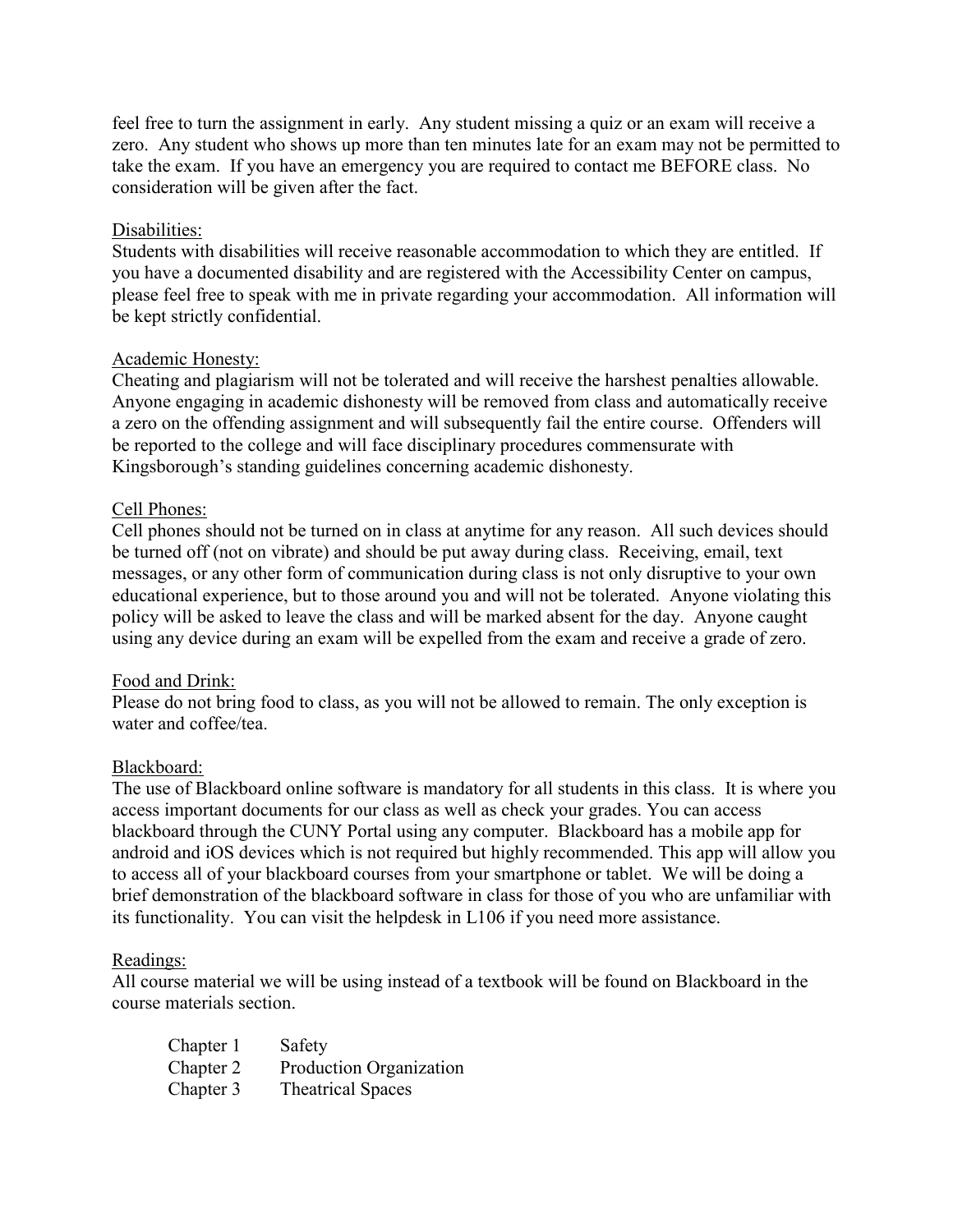feel free to turn the assignment in early. Any student missing a quiz or an exam will receive a zero. Any student who shows up more than ten minutes late for an exam may not be permitted to take the exam. If you have an emergency you are required to contact me BEFORE class. No consideration will be given after the fact.

#### Disabilities:

Students with disabilities will receive reasonable accommodation to which they are entitled. If you have a documented disability and are registered with the Accessibility Center on campus, please feel free to speak with me in private regarding your accommodation. All information will be kept strictly confidential.

#### Academic Honesty:

Cheating and plagiarism will not be tolerated and will receive the harshest penalties allowable. Anyone engaging in academic dishonesty will be removed from class and automatically receive a zero on the offending assignment and will subsequently fail the entire course. Offenders will be reported to the college and will face disciplinary procedures commensurate with Kingsborough's standing guidelines concerning academic dishonesty.

# Cell Phones:

Cell phones should not be turned on in class at anytime for any reason. All such devices should be turned off (not on vibrate) and should be put away during class. Receiving, email, text messages, or any other form of communication during class is not only disruptive to your own educational experience, but to those around you and will not be tolerated. Anyone violating this policy will be asked to leave the class and will be marked absent for the day. Anyone caught using any device during an exam will be expelled from the exam and receive a grade of zero.

#### Food and Drink:

Please do not bring food to class, as you will not be allowed to remain. The only exception is water and coffee/tea.

#### Blackboard:

The use of Blackboard online software is mandatory for all students in this class. It is where you access important documents for our class as well as check your grades. You can access blackboard through the CUNY Portal using any computer. Blackboard has a mobile app for android and iOS devices which is not required but highly recommended. This app will allow you to access all of your blackboard courses from your smartphone or tablet. We will be doing a brief demonstration of the blackboard software in class for those of you who are unfamiliar with its functionality. You can visit the helpdesk in L106 if you need more assistance.

#### Readings:

All course material we will be using instead of a textbook will be found on Blackboard in the course materials section.

| Chapter 1 | Safety                   |
|-----------|--------------------------|
| Chapter 2 | Production Organization  |
| Chapter 3 | <b>Theatrical Spaces</b> |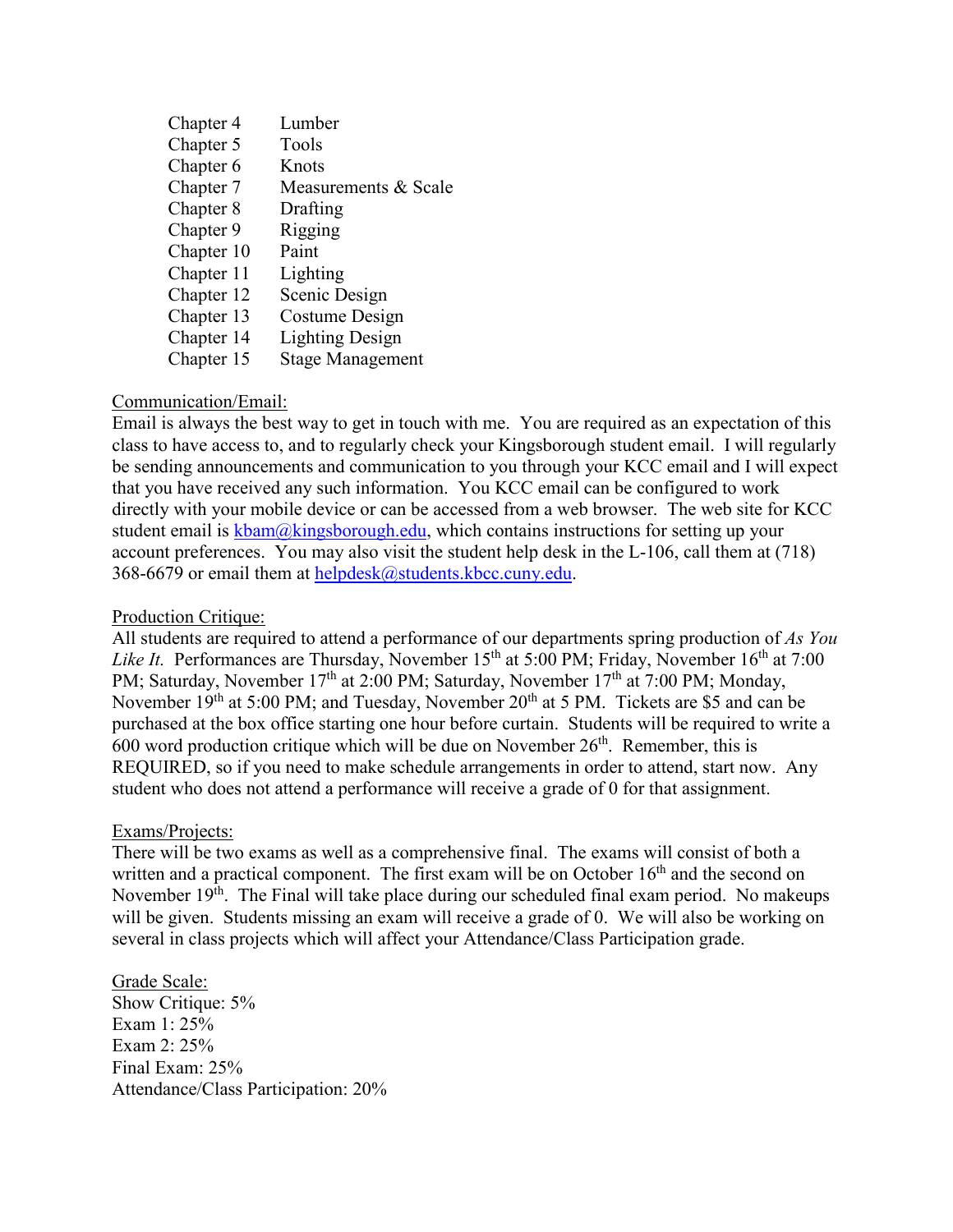| Chapter 4  | Lumber                  |
|------------|-------------------------|
| Chapter 5  | Tools                   |
| Chapter 6  | Knots                   |
| Chapter 7  | Measurements & Scale    |
| Chapter 8  | Drafting                |
| Chapter 9  | Rigging                 |
| Chapter 10 | Paint                   |
| Chapter 11 | Lighting                |
| Chapter 12 | Scenic Design           |
| Chapter 13 | Costume Design          |
| Chapter 14 | <b>Lighting Design</b>  |
| Chapter 15 | <b>Stage Management</b> |

# Communication/Email:

Email is always the best way to get in touch with me. You are required as an expectation of this class to have access to, and to regularly check your Kingsborough student email. I will regularly be sending announcements and communication to you through your KCC email and I will expect that you have received any such information. You KCC email can be configured to work directly with your mobile device or can be accessed from a web browser. The web site for KCC student email is  $kbam@kingsborough.edu$ , which contains instructions for setting up your account preferences. You may also visit the student help desk in the L-106, call them at (718) 368-6679 or email them at [helpdesk@students.kbcc.cuny.edu.](mailto:helpdesk@students.kbcc.cuny.edu)

#### Production Critique:

All students are required to attend a performance of our departments spring production of *As You Like It.* Performances are Thursday, November 15<sup>th</sup> at 5:00 PM; Friday, November 16<sup>th</sup> at 7:00 PM; Saturday, November 17<sup>th</sup> at 2:00 PM; Saturday, November 17<sup>th</sup> at 7:00 PM; Monday, November  $19<sup>th</sup>$  at 5:00 PM; and Tuesday, November  $20<sup>th</sup>$  at 5 PM. Tickets are \$5 and can be purchased at the box office starting one hour before curtain. Students will be required to write a  $600$  word production critique which will be due on November  $26<sup>th</sup>$ . Remember, this is REQUIRED, so if you need to make schedule arrangements in order to attend, start now. Any student who does not attend a performance will receive a grade of 0 for that assignment.

#### Exams/Projects:

There will be two exams as well as a comprehensive final. The exams will consist of both a written and a practical component. The first exam will be on October  $16<sup>th</sup>$  and the second on November  $19<sup>th</sup>$ . The Final will take place during our scheduled final exam period. No makeups will be given. Students missing an exam will receive a grade of 0. We will also be working on several in class projects which will affect your Attendance/Class Participation grade.

Grade Scale: Show Critique: 5% Exam 1: 25% Exam 2: 25% Final Exam: 25% Attendance/Class Participation: 20%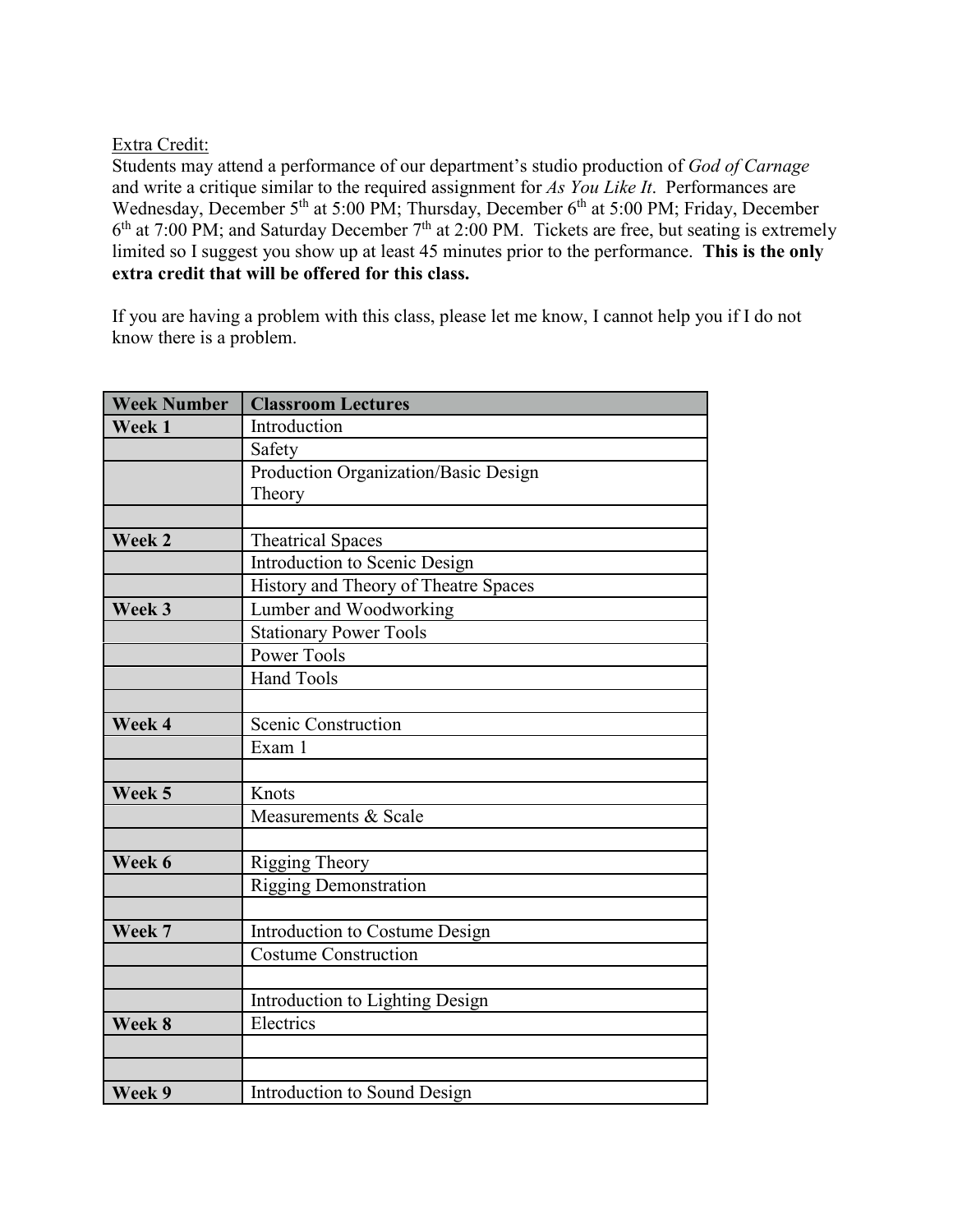# Extra Credit:

Students may attend a performance of our department's studio production of *God of Carnage* and write a critique similar to the required assignment for *As You Like It*. Performances are Wednesday, December 5<sup>th</sup> at 5:00 PM; Thursday, December 6<sup>th</sup> at 5:00 PM; Friday, December  $6<sup>th</sup>$  at 7:00 PM; and Saturday December 7<sup>th</sup> at 2:00 PM. Tickets are free, but seating is extremely limited so I suggest you show up at least 45 minutes prior to the performance. **This is the only extra credit that will be offered for this class.**

If you are having a problem with this class, please let me know, I cannot help you if I do not know there is a problem.

| <b>Week Number</b> | <b>Classroom Lectures</b>            |  |  |
|--------------------|--------------------------------------|--|--|
| Week 1             | Introduction                         |  |  |
|                    | Safety                               |  |  |
|                    | Production Organization/Basic Design |  |  |
|                    | Theory                               |  |  |
|                    |                                      |  |  |
| Week 2             | <b>Theatrical Spaces</b>             |  |  |
|                    | Introduction to Scenic Design        |  |  |
|                    | History and Theory of Theatre Spaces |  |  |
| Week 3             | Lumber and Woodworking               |  |  |
|                    | <b>Stationary Power Tools</b>        |  |  |
|                    | Power Tools                          |  |  |
|                    | <b>Hand Tools</b>                    |  |  |
|                    |                                      |  |  |
| Week 4             | Scenic Construction                  |  |  |
|                    | Exam 1                               |  |  |
|                    |                                      |  |  |
| Week 5             | Knots                                |  |  |
|                    | Measurements & Scale                 |  |  |
|                    |                                      |  |  |
| Week 6             | Rigging Theory                       |  |  |
|                    | <b>Rigging Demonstration</b>         |  |  |
|                    |                                      |  |  |
| Week 7             | Introduction to Costume Design       |  |  |
|                    | <b>Costume Construction</b>          |  |  |
|                    |                                      |  |  |
|                    | Introduction to Lighting Design      |  |  |
| Week 8             | Electrics                            |  |  |
|                    |                                      |  |  |
|                    |                                      |  |  |
| Week 9             | Introduction to Sound Design         |  |  |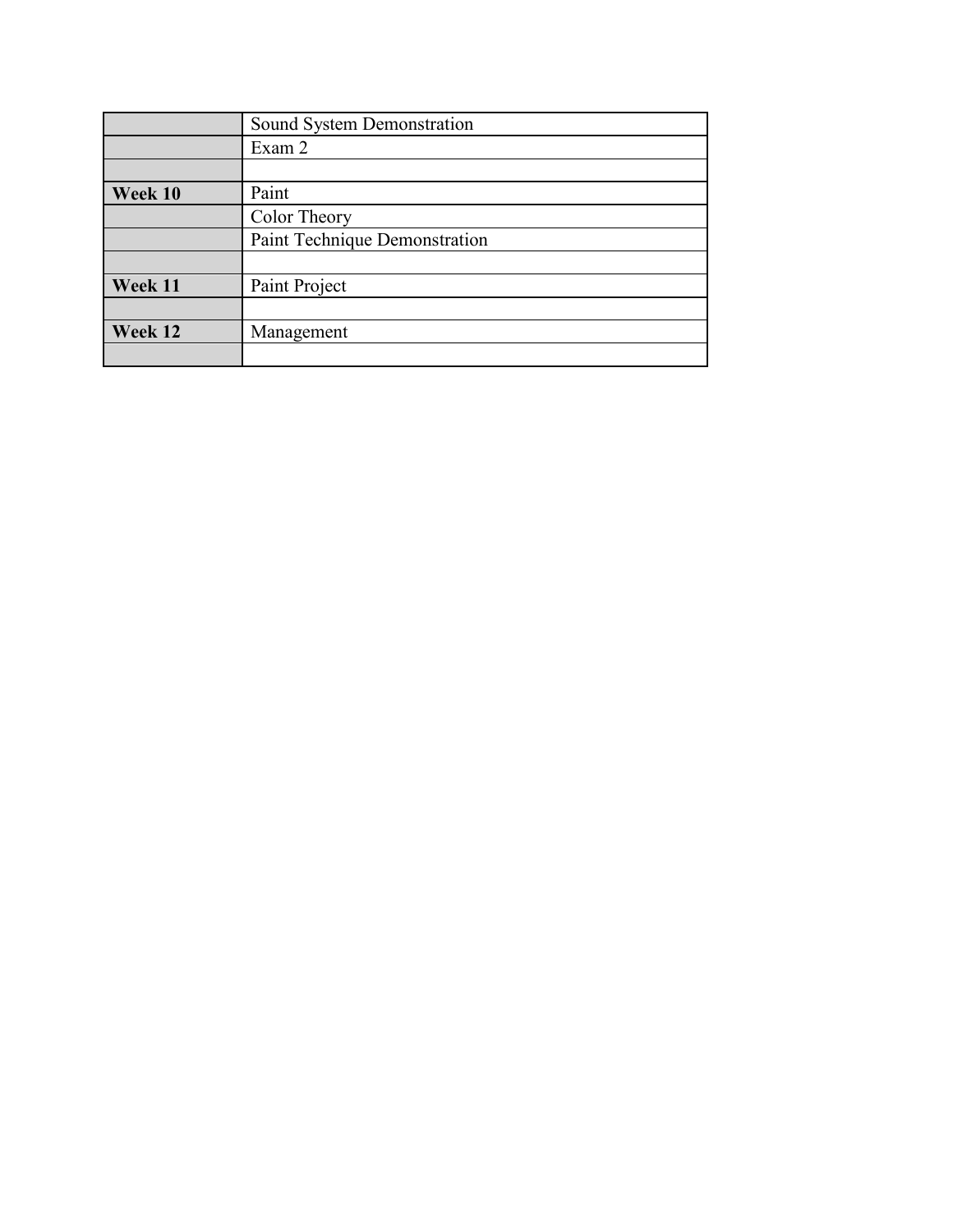|         | Sound System Demonstration    |  |
|---------|-------------------------------|--|
|         | Exam 2                        |  |
|         |                               |  |
| Week 10 | Paint                         |  |
|         | Color Theory                  |  |
|         | Paint Technique Demonstration |  |
|         |                               |  |
| Week 11 | Paint Project                 |  |
|         |                               |  |
| Week 12 | Management                    |  |
|         |                               |  |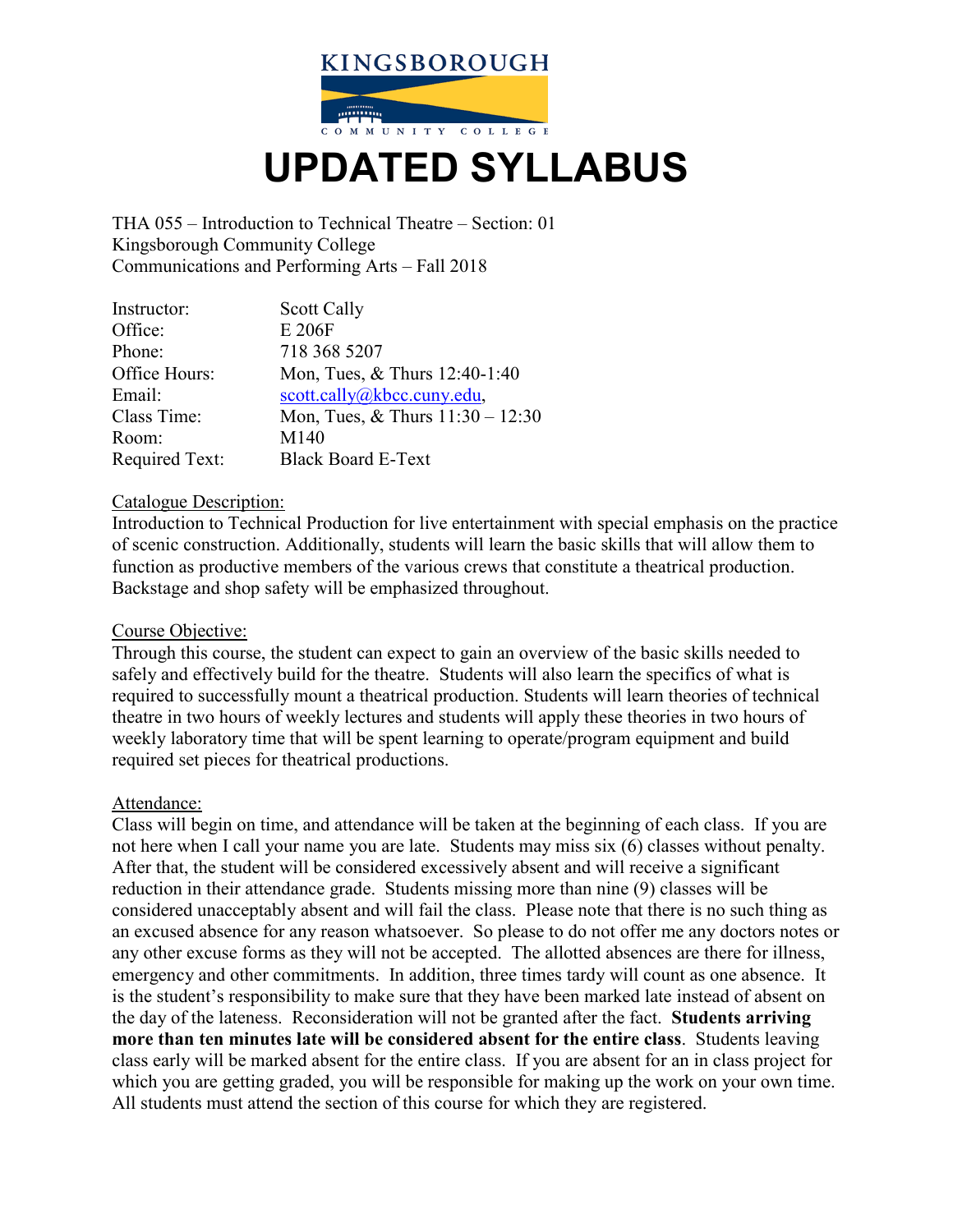

# **UPDATED SYLLABUS**

THA 055 – Introduction to Technical Theatre – Section: 01 Kingsborough Community College Communications and Performing Arts – Fall 2018

| Instructor:           | <b>Scott Cally</b>                 |
|-----------------------|------------------------------------|
| Office:               | E 206F                             |
| Phone:                | 718 368 5207                       |
| Office Hours:         | Mon, Tues, & Thurs 12:40-1:40      |
| Email:                | scott.cally@kbcc.cuny.edu,         |
| Class Time:           | Mon, Tues, & Thurs $11:30 - 12:30$ |
| Room:                 | M140                               |
| <b>Required Text:</b> | <b>Black Board E-Text</b>          |

#### Catalogue Description:

Introduction to Technical Production for live entertainment with special emphasis on the practice of scenic construction. Additionally, students will learn the basic skills that will allow them to function as productive members of the various crews that constitute a theatrical production. Backstage and shop safety will be emphasized throughout.

#### Course Objective:

Through this course, the student can expect to gain an overview of the basic skills needed to safely and effectively build for the theatre. Students will also learn the specifics of what is required to successfully mount a theatrical production. Students will learn theories of technical theatre in two hours of weekly lectures and students will apply these theories in two hours of weekly laboratory time that will be spent learning to operate/program equipment and build required set pieces for theatrical productions.

#### Attendance:

Class will begin on time, and attendance will be taken at the beginning of each class. If you are not here when I call your name you are late. Students may miss six (6) classes without penalty. After that, the student will be considered excessively absent and will receive a significant reduction in their attendance grade. Students missing more than nine (9) classes will be considered unacceptably absent and will fail the class. Please note that there is no such thing as an excused absence for any reason whatsoever. So please to do not offer me any doctors notes or any other excuse forms as they will not be accepted. The allotted absences are there for illness, emergency and other commitments. In addition, three times tardy will count as one absence. It is the student's responsibility to make sure that they have been marked late instead of absent on the day of the lateness. Reconsideration will not be granted after the fact. **Students arriving more than ten minutes late will be considered absent for the entire class**. Students leaving class early will be marked absent for the entire class. If you are absent for an in class project for which you are getting graded, you will be responsible for making up the work on your own time. All students must attend the section of this course for which they are registered.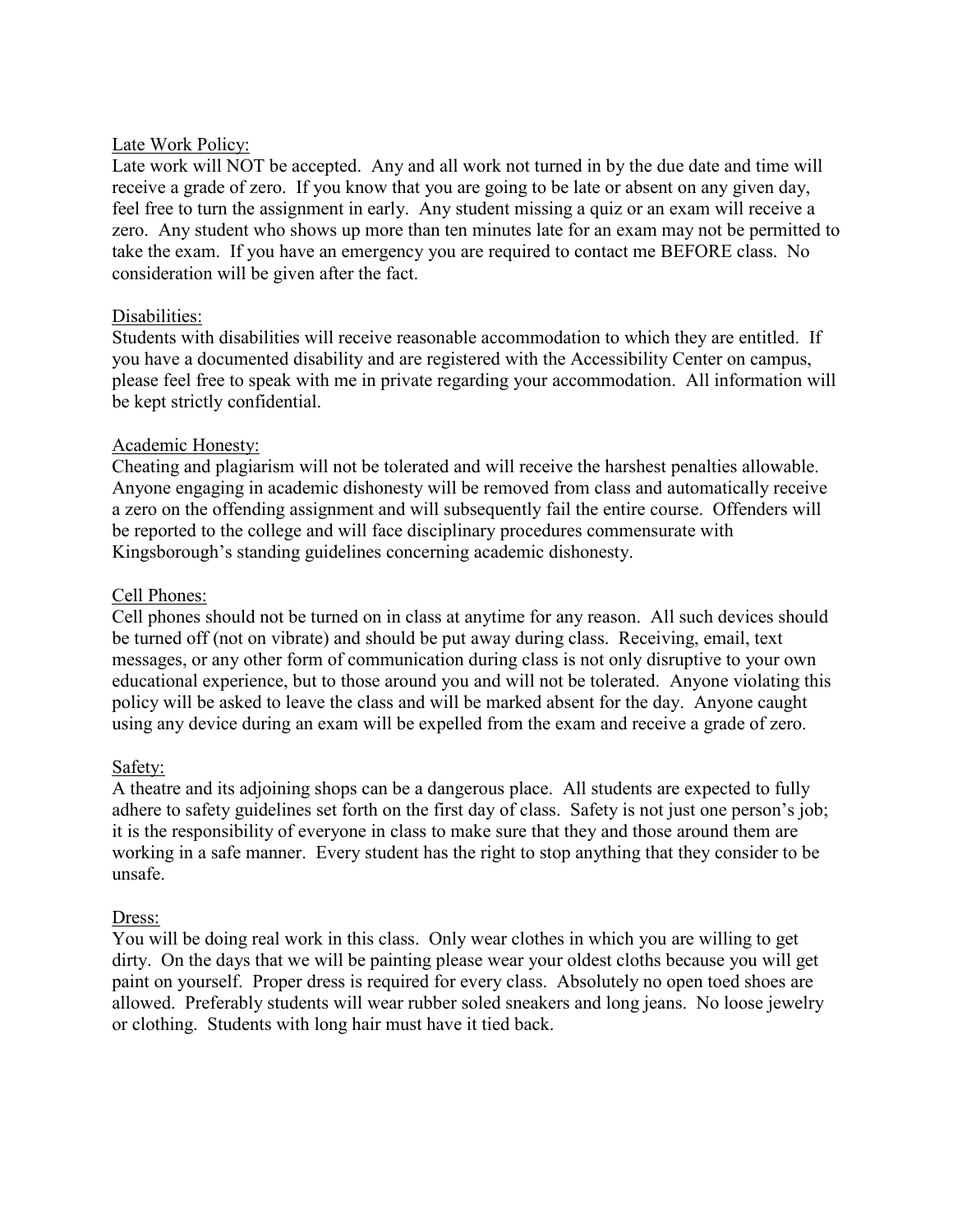#### Late Work Policy:

Late work will NOT be accepted. Any and all work not turned in by the due date and time will receive a grade of zero. If you know that you are going to be late or absent on any given day, feel free to turn the assignment in early. Any student missing a quiz or an exam will receive a zero. Any student who shows up more than ten minutes late for an exam may not be permitted to take the exam. If you have an emergency you are required to contact me BEFORE class. No consideration will be given after the fact.

# Disabilities:

Students with disabilities will receive reasonable accommodation to which they are entitled. If you have a documented disability and are registered with the Accessibility Center on campus, please feel free to speak with me in private regarding your accommodation. All information will be kept strictly confidential.

# Academic Honesty:

Cheating and plagiarism will not be tolerated and will receive the harshest penalties allowable. Anyone engaging in academic dishonesty will be removed from class and automatically receive a zero on the offending assignment and will subsequently fail the entire course. Offenders will be reported to the college and will face disciplinary procedures commensurate with Kingsborough's standing guidelines concerning academic dishonesty.

# Cell Phones:

Cell phones should not be turned on in class at anytime for any reason. All such devices should be turned off (not on vibrate) and should be put away during class. Receiving, email, text messages, or any other form of communication during class is not only disruptive to your own educational experience, but to those around you and will not be tolerated. Anyone violating this policy will be asked to leave the class and will be marked absent for the day. Anyone caught using any device during an exam will be expelled from the exam and receive a grade of zero.

# Safety:

A theatre and its adjoining shops can be a dangerous place. All students are expected to fully adhere to safety guidelines set forth on the first day of class. Safety is not just one person's job; it is the responsibility of everyone in class to make sure that they and those around them are working in a safe manner. Every student has the right to stop anything that they consider to be unsafe.

#### Dress:

You will be doing real work in this class. Only wear clothes in which you are willing to get dirty. On the days that we will be painting please wear your oldest cloths because you will get paint on yourself. Proper dress is required for every class. Absolutely no open toed shoes are allowed. Preferably students will wear rubber soled sneakers and long jeans. No loose jewelry or clothing. Students with long hair must have it tied back.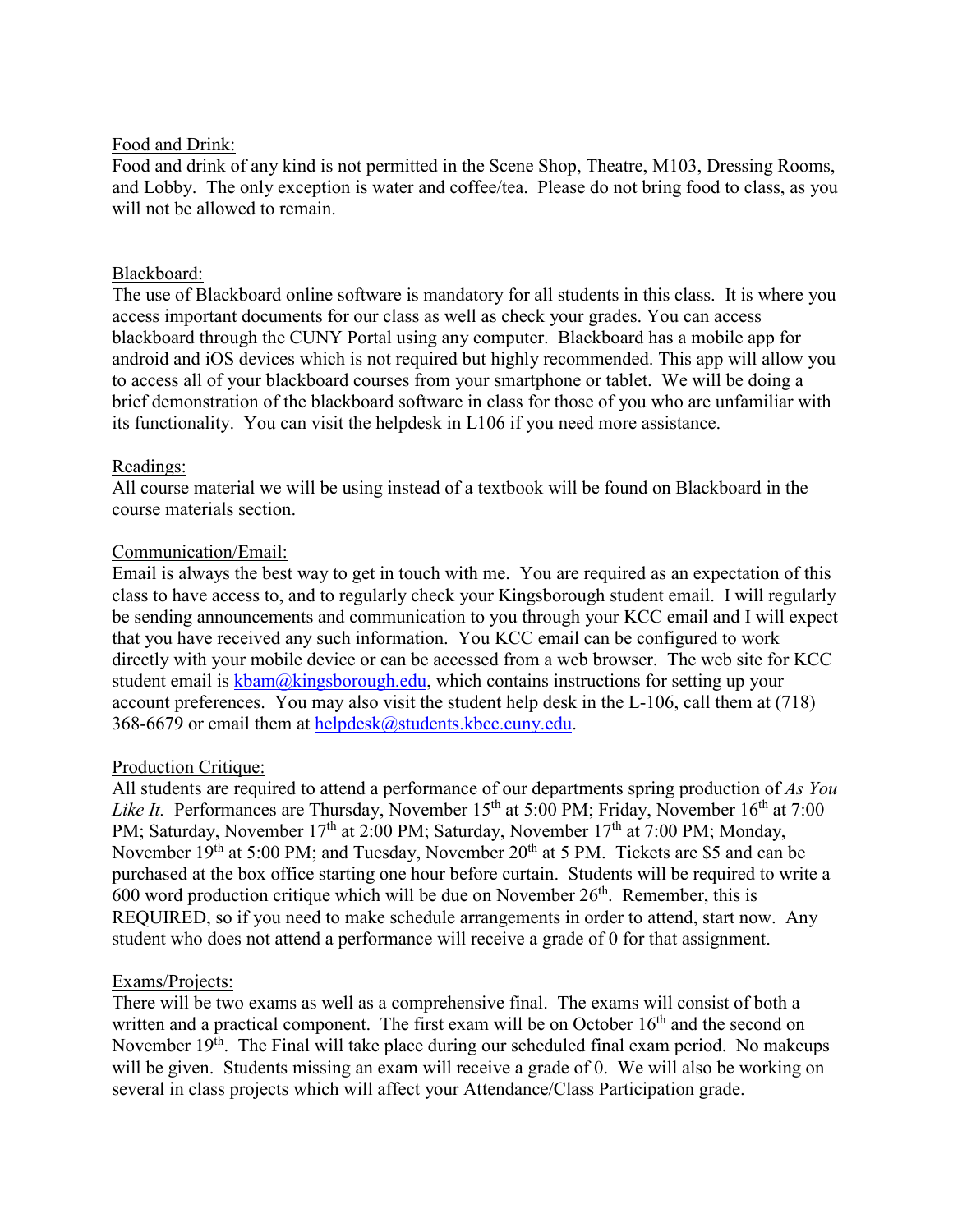#### Food and Drink:

Food and drink of any kind is not permitted in the Scene Shop, Theatre, M103, Dressing Rooms, and Lobby. The only exception is water and coffee/tea. Please do not bring food to class, as you will not be allowed to remain.

# Blackboard:

The use of Blackboard online software is mandatory for all students in this class. It is where you access important documents for our class as well as check your grades. You can access blackboard through the CUNY Portal using any computer. Blackboard has a mobile app for android and iOS devices which is not required but highly recommended. This app will allow you to access all of your blackboard courses from your smartphone or tablet. We will be doing a brief demonstration of the blackboard software in class for those of you who are unfamiliar with its functionality. You can visit the helpdesk in L106 if you need more assistance.

# Readings:

All course material we will be using instead of a textbook will be found on Blackboard in the course materials section.

# Communication/Email:

Email is always the best way to get in touch with me. You are required as an expectation of this class to have access to, and to regularly check your Kingsborough student email. I will regularly be sending announcements and communication to you through your KCC email and I will expect that you have received any such information. You KCC email can be configured to work directly with your mobile device or can be accessed from a web browser. The web site for KCC student email is  $kbam@kingsborough.edu$ , which contains instructions for setting up your account preferences. You may also visit the student help desk in the L-106, call them at (718) 368-6679 or email them at [helpdesk@students.kbcc.cuny.edu.](mailto:helpdesk@students.kbcc.cuny.edu)

# Production Critique:

All students are required to attend a performance of our departments spring production of *As You Like It.* Performances are Thursday, November 15<sup>th</sup> at 5:00 PM; Friday, November 16<sup>th</sup> at 7:00 PM; Saturday, November 17<sup>th</sup> at 2:00 PM; Saturday, November 17<sup>th</sup> at 7:00 PM; Monday, November  $19<sup>th</sup>$  at 5:00 PM; and Tuesday, November  $20<sup>th</sup>$  at 5 PM. Tickets are \$5 and can be purchased at the box office starting one hour before curtain. Students will be required to write a  $600$  word production critique which will be due on November  $26<sup>th</sup>$ . Remember, this is REQUIRED, so if you need to make schedule arrangements in order to attend, start now. Any student who does not attend a performance will receive a grade of 0 for that assignment.

#### Exams/Projects:

There will be two exams as well as a comprehensive final. The exams will consist of both a written and a practical component. The first exam will be on October  $16<sup>th</sup>$  and the second on November  $19<sup>th</sup>$ . The Final will take place during our scheduled final exam period. No makeups will be given. Students missing an exam will receive a grade of 0. We will also be working on several in class projects which will affect your Attendance/Class Participation grade.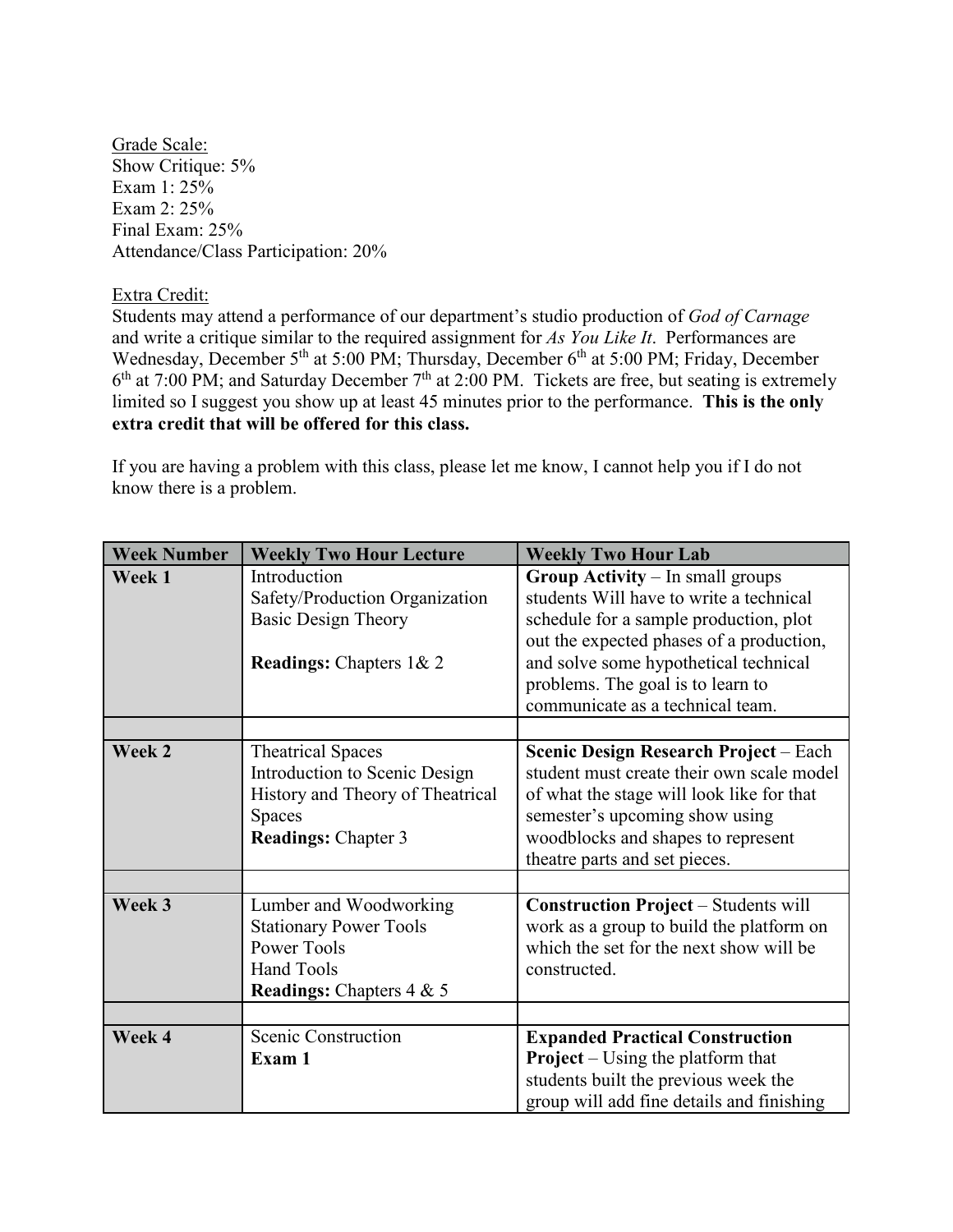Grade Scale: Show Critique: 5% Exam 1: 25% Exam 2: 25% Final Exam: 25% Attendance/Class Participation: 20%

#### Extra Credit:

Students may attend a performance of our department's studio production of *God of Carnage* and write a critique similar to the required assignment for *As You Like It*. Performances are Wednesday, December 5<sup>th</sup> at 5:00 PM; Thursday, December 6<sup>th</sup> at 5:00 PM; Friday, December  $6<sup>th</sup>$  at 7:00 PM; and Saturday December 7<sup>th</sup> at 2:00 PM. Tickets are free, but seating is extremely limited so I suggest you show up at least 45 minutes prior to the performance. **This is the only extra credit that will be offered for this class.**

If you are having a problem with this class, please let me know, I cannot help you if I do not know there is a problem.

| <b>Week Number</b> | <b>Weekly Two Hour Lecture</b>                                                                                                               | <b>Weekly Two Hour Lab</b>                                                                                                                                                                                                                                                          |
|--------------------|----------------------------------------------------------------------------------------------------------------------------------------------|-------------------------------------------------------------------------------------------------------------------------------------------------------------------------------------------------------------------------------------------------------------------------------------|
| Week 1             | Introduction<br>Safety/Production Organization<br><b>Basic Design Theory</b><br><b>Readings:</b> Chapters 1& 2                               | Group Activity - In small groups<br>students Will have to write a technical<br>schedule for a sample production, plot<br>out the expected phases of a production,<br>and solve some hypothetical technical<br>problems. The goal is to learn to<br>communicate as a technical team. |
|                    |                                                                                                                                              |                                                                                                                                                                                                                                                                                     |
| Week 2             | <b>Theatrical Spaces</b><br>Introduction to Scenic Design<br>History and Theory of Theatrical<br><b>Spaces</b><br><b>Readings: Chapter 3</b> | Scenic Design Research Project – Each<br>student must create their own scale model<br>of what the stage will look like for that<br>semester's upcoming show using<br>woodblocks and shapes to represent<br>theatre parts and set pieces.                                            |
|                    |                                                                                                                                              |                                                                                                                                                                                                                                                                                     |
| Week 3             | Lumber and Woodworking<br><b>Stationary Power Tools</b><br><b>Power Tools</b><br><b>Hand Tools</b><br><b>Readings:</b> Chapters 4 & 5        | <b>Construction Project - Students will</b><br>work as a group to build the platform on<br>which the set for the next show will be<br>constructed.                                                                                                                                  |
|                    |                                                                                                                                              |                                                                                                                                                                                                                                                                                     |
| Week 4             | Scenic Construction<br>Exam 1                                                                                                                | <b>Expanded Practical Construction</b><br><b>Project</b> – Using the platform that<br>students built the previous week the<br>group will add fine details and finishing                                                                                                             |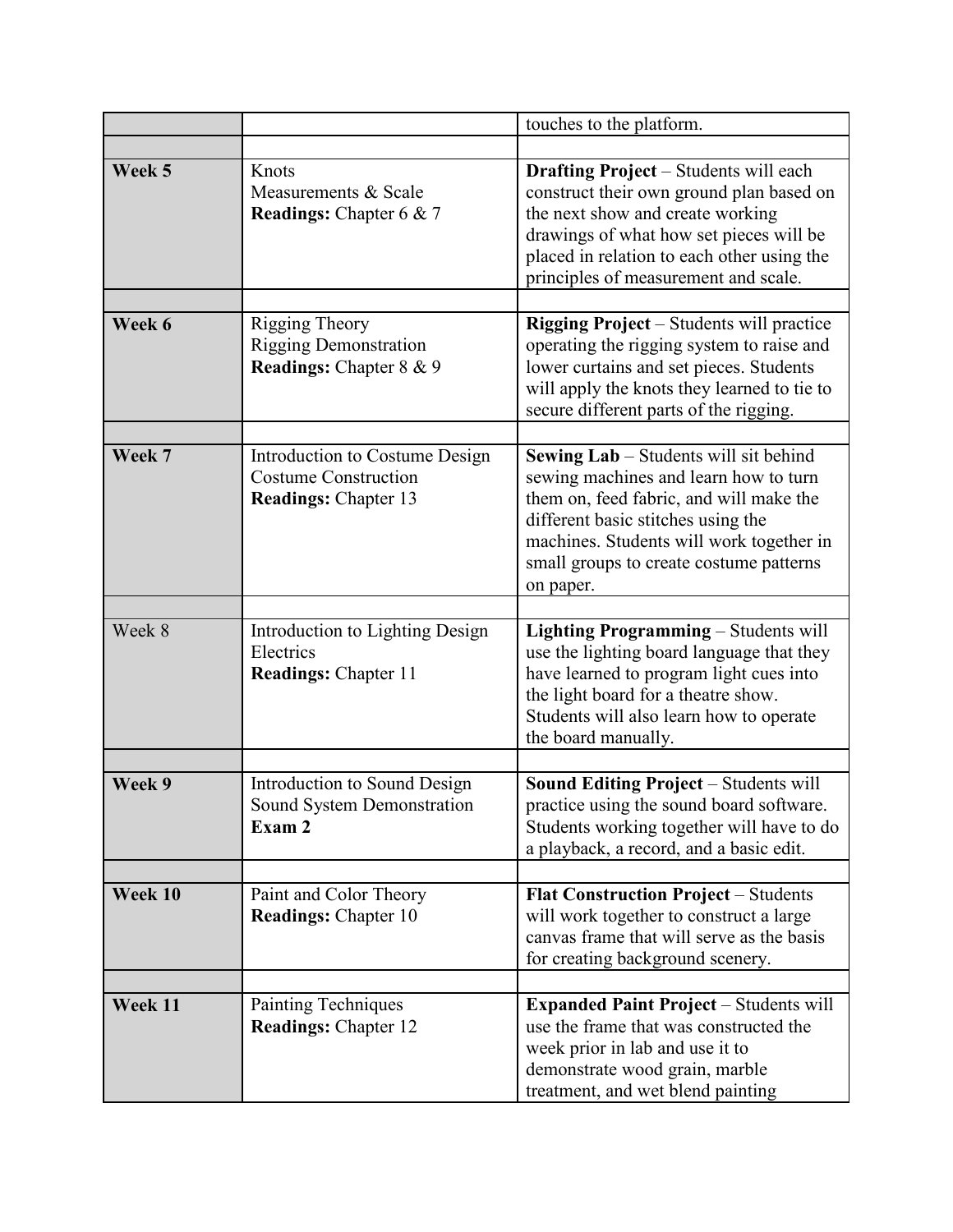|         |                                                                                              | touches to the platform.                                                                                                                                                                                                                                                   |
|---------|----------------------------------------------------------------------------------------------|----------------------------------------------------------------------------------------------------------------------------------------------------------------------------------------------------------------------------------------------------------------------------|
|         |                                                                                              |                                                                                                                                                                                                                                                                            |
| Week 5  | Knots<br>Measurements & Scale<br><b>Readings:</b> Chapter 6 & 7                              | <b>Drafting Project</b> - Students will each<br>construct their own ground plan based on<br>the next show and create working<br>drawings of what how set pieces will be<br>placed in relation to each other using the<br>principles of measurement and scale.              |
| Week 6  | <b>Rigging Theory</b><br><b>Rigging Demonstration</b><br>Readings: Chapter 8 & 9             | <b>Rigging Project</b> – Students will practice<br>operating the rigging system to raise and<br>lower curtains and set pieces. Students<br>will apply the knots they learned to tie to<br>secure different parts of the rigging.                                           |
| Week 7  | Introduction to Costume Design<br><b>Costume Construction</b><br><b>Readings: Chapter 13</b> | <b>Sewing Lab</b> – Students will sit behind<br>sewing machines and learn how to turn<br>them on, feed fabric, and will make the<br>different basic stitches using the<br>machines. Students will work together in<br>small groups to create costume patterns<br>on paper. |
| Week 8  | Introduction to Lighting Design<br>Electrics<br><b>Readings: Chapter 11</b>                  | Lighting Programming - Students will<br>use the lighting board language that they<br>have learned to program light cues into<br>the light board for a theatre show.<br>Students will also learn how to operate<br>the board manually.                                      |
| Week 9  | Introduction to Sound Design<br>Sound System Demonstration<br>Exam 2                         | <b>Sound Editing Project - Students will</b><br>practice using the sound board software.<br>Students working together will have to do<br>a playback, a record, and a basic edit.                                                                                           |
| Week 10 | Paint and Color Theory<br><b>Readings: Chapter 10</b>                                        | <b>Flat Construction Project - Students</b><br>will work together to construct a large<br>canvas frame that will serve as the basis<br>for creating background scenery.                                                                                                    |
| Week 11 | <b>Painting Techniques</b><br><b>Readings: Chapter 12</b>                                    | <b>Expanded Paint Project</b> – Students will<br>use the frame that was constructed the<br>week prior in lab and use it to<br>demonstrate wood grain, marble<br>treatment, and wet blend painting                                                                          |